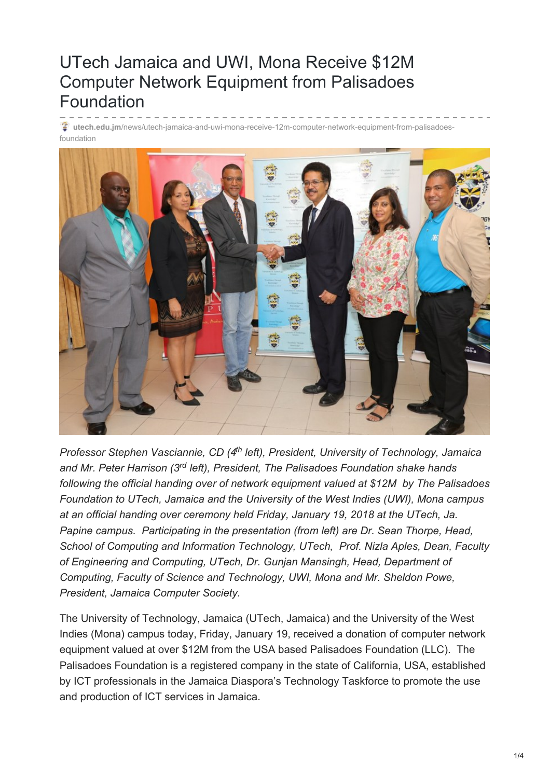## UTech Jamaica and UWI, Mona Receive \$12M Computer Network Equipment from Palisadoes Foundation

**utech.edu.jm**[/news/utech-jamaica-and-uwi-mona-receive-12m-computer-network-equipment-from-palisadoes](https://www.utech.edu.jm/news/utech-jamaica-and-uwi-mona-receive-12m-computer-network-equipment-from-palisadoes-foundation)foundation



*Professor Stephen Vasciannie, CD (4<sup>th</sup> left), President, University of Technology, Jamaica* and Mr. Peter Harrison (3<sup>rd</sup> left), President, The Palisadoes Foundation shake hands *following the official handing over of network equipment valued at \$12M by The Palisadoes Foundation to UTech, Jamaica and the University of the West Indies (UWI), Mona campus at an official handing over ceremony held Friday, January 19, 2018 at the UTech, Ja. Papine campus. Participating in the presentation (from left) are Dr. Sean Thorpe, Head, School of Computing and Information Technology, UTech, Prof. Nizla Aples, Dean, Faculty of Engineering and Computing, UTech, Dr. Gunjan Mansingh, Head, Department of Computing, Faculty of Science and Technology, UWI, Mona and Mr. Sheldon Powe, President, Jamaica Computer Society.*

The University of Technology, Jamaica (UTech, Jamaica) and the University of the West Indies (Mona) campus today, Friday, January 19, received a donation of computer network equipment valued at over \$12M from the USA based Palisadoes Foundation (LLC). The Palisadoes Foundation is a registered company in the state of California, USA, established by ICT professionals in the Jamaica Diaspora's Technology Taskforce to promote the use and production of ICT services in Jamaica.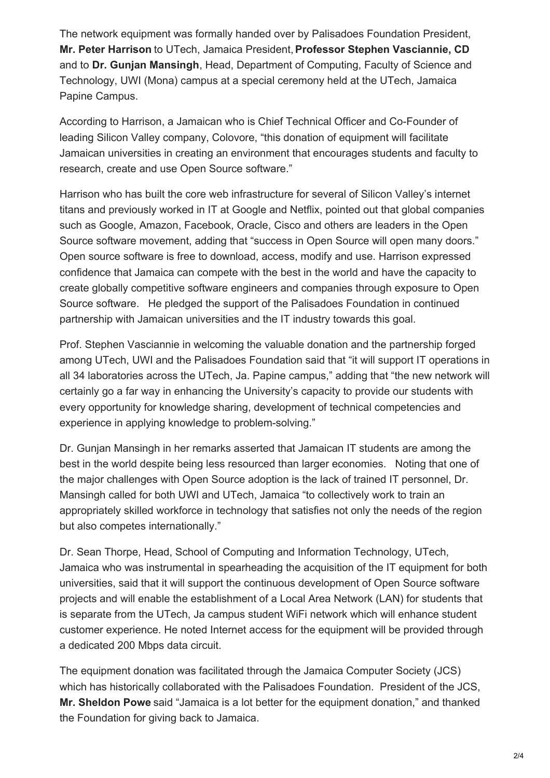The network equipment was formally handed over by Palisadoes Foundation President, **Mr. Peter Harrison** to UTech, Jamaica President,**Professor Stephen Vasciannie, CD** and to **Dr. Gunjan Mansingh**, Head, Department of Computing, Faculty of Science and Technology, UWI (Mona) campus at a special ceremony held at the UTech, Jamaica Papine Campus.

According to Harrison, a Jamaican who is Chief Technical Officer and Co-Founder of leading Silicon Valley company, Colovore, "this donation of equipment will facilitate Jamaican universities in creating an environment that encourages students and faculty to research, create and use Open Source software."

Harrison who has built the core web infrastructure for several of Silicon Valley's internet titans and previously worked in IT at Google and Netflix, pointed out that global companies such as Google, Amazon, Facebook, Oracle, Cisco and others are leaders in the Open Source software movement, adding that "success in Open Source will open many doors." Open source software is free to download, access, modify and use. Harrison expressed confidence that Jamaica can compete with the best in the world and have the capacity to create globally competitive software engineers and companies through exposure to Open Source software. He pledged the support of the Palisadoes Foundation in continued partnership with Jamaican universities and the IT industry towards this goal.

Prof. Stephen Vasciannie in welcoming the valuable donation and the partnership forged among UTech, UWI and the Palisadoes Foundation said that "it will support IT operations in all 34 laboratories across the UTech, Ja. Papine campus," adding that "the new network will certainly go a far way in enhancing the University's capacity to provide our students with every opportunity for knowledge sharing, development of technical competencies and experience in applying knowledge to problem-solving."

Dr. Gunjan Mansingh in her remarks asserted that Jamaican IT students are among the best in the world despite being less resourced than larger economies. Noting that one of the major challenges with Open Source adoption is the lack of trained IT personnel, Dr. Mansingh called for both UWI and UTech, Jamaica "to collectively work to train an appropriately skilled workforce in technology that satisfies not only the needs of the region but also competes internationally."

Dr. Sean Thorpe, Head, School of Computing and Information Technology, UTech, Jamaica who was instrumental in spearheading the acquisition of the IT equipment for both universities, said that it will support the continuous development of Open Source software projects and will enable the establishment of a Local Area Network (LAN) for students that is separate from the UTech, Ja campus student WiFi network which will enhance student customer experience. He noted Internet access for the equipment will be provided through a dedicated 200 Mbps data circuit.

The equipment donation was facilitated through the Jamaica Computer Society (JCS) which has historically collaborated with the Palisadoes Foundation. President of the JCS, **Mr. Sheldon Powe** said "Jamaica is a lot better for the equipment donation," and thanked the Foundation for giving back to Jamaica.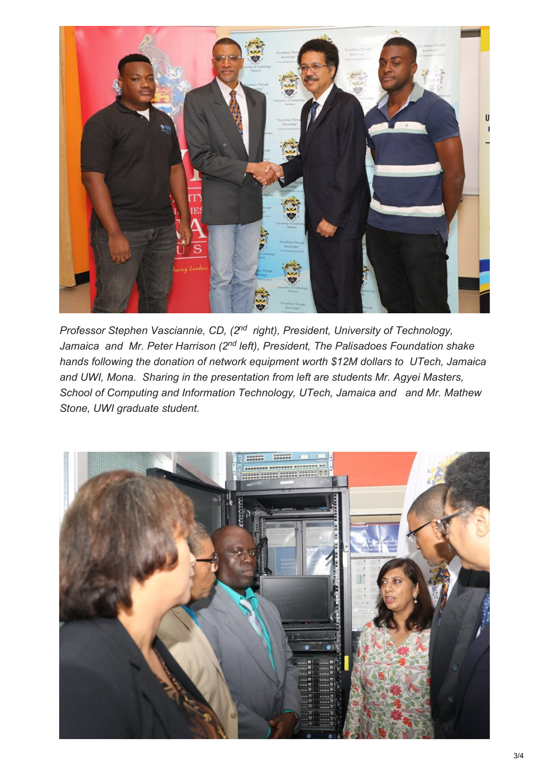

*Professor Stephen Vasciannie, CD, (2<sup>nd</sup> right), President, University of Technology,* Jamaica and Mr. Peter Harrison (2<sup>nd</sup> left), President, The Palisadoes Foundation shake *hands following the donation of network equipment worth \$12M dollars to UTech, Jamaica and UWI, Mona. Sharing in the presentation from left are students Mr. Agyei Masters, School of Computing and Information Technology, UTech, Jamaica and and Mr. Mathew Stone, UWI graduate student.*